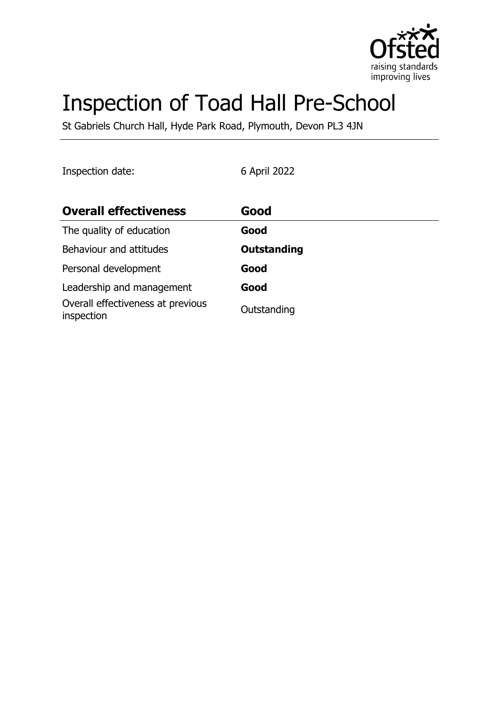

# Inspection of Toad Hall Pre-School

St Gabriels Church Hall, Hyde Park Road, Plymouth, Devon PL3 4JN

| Inspection date:                                | 6 April 2022 |
|-------------------------------------------------|--------------|
| <b>Overall effectiveness</b>                    | Good         |
| The quality of education                        | Good         |
| Behaviour and attitudes                         | Outstanding  |
| Personal development                            | Good         |
| Leadership and management                       | Good         |
| Overall effectiveness at previous<br>inspection | Outstanding  |
|                                                 |              |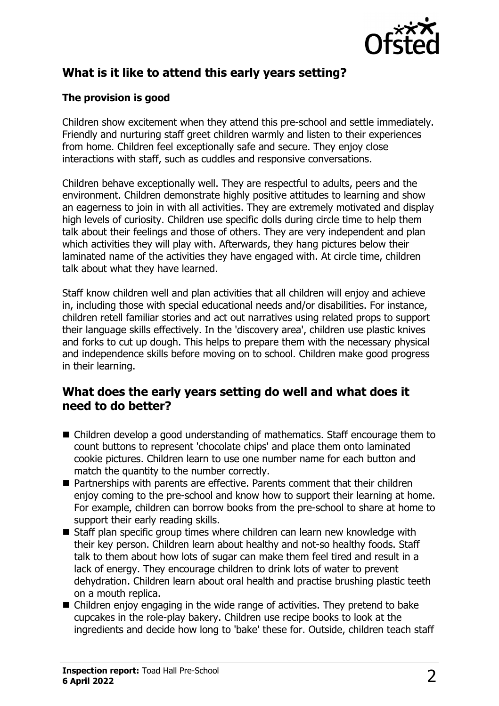

# **What is it like to attend this early years setting?**

#### **The provision is good**

Children show excitement when they attend this pre-school and settle immediately. Friendly and nurturing staff greet children warmly and listen to their experiences from home. Children feel exceptionally safe and secure. They enjoy close interactions with staff, such as cuddles and responsive conversations.

Children behave exceptionally well. They are respectful to adults, peers and the environment. Children demonstrate highly positive attitudes to learning and show an eagerness to join in with all activities. They are extremely motivated and display high levels of curiosity. Children use specific dolls during circle time to help them talk about their feelings and those of others. They are very independent and plan which activities they will play with. Afterwards, they hang pictures below their laminated name of the activities they have engaged with. At circle time, children talk about what they have learned.

Staff know children well and plan activities that all children will enjoy and achieve in, including those with special educational needs and/or disabilities. For instance, children retell familiar stories and act out narratives using related props to support their language skills effectively. In the 'discovery area', children use plastic knives and forks to cut up dough. This helps to prepare them with the necessary physical and independence skills before moving on to school. Children make good progress in their learning.

#### **What does the early years setting do well and what does it need to do better?**

- $\blacksquare$  Children develop a good understanding of mathematics. Staff encourage them to count buttons to represent 'chocolate chips' and place them onto laminated cookie pictures. Children learn to use one number name for each button and match the quantity to the number correctly.
- $\blacksquare$  Partnerships with parents are effective. Parents comment that their children enjoy coming to the pre-school and know how to support their learning at home. For example, children can borrow books from the pre-school to share at home to support their early reading skills.
- $\blacksquare$  Staff plan specific group times where children can learn new knowledge with their key person. Children learn about healthy and not-so healthy foods. Staff talk to them about how lots of sugar can make them feel tired and result in a lack of energy. They encourage children to drink lots of water to prevent dehydration. Children learn about oral health and practise brushing plastic teeth on a mouth replica.
- $\blacksquare$  Children enjoy engaging in the wide range of activities. They pretend to bake cupcakes in the role-play bakery. Children use recipe books to look at the ingredients and decide how long to 'bake' these for. Outside, children teach staff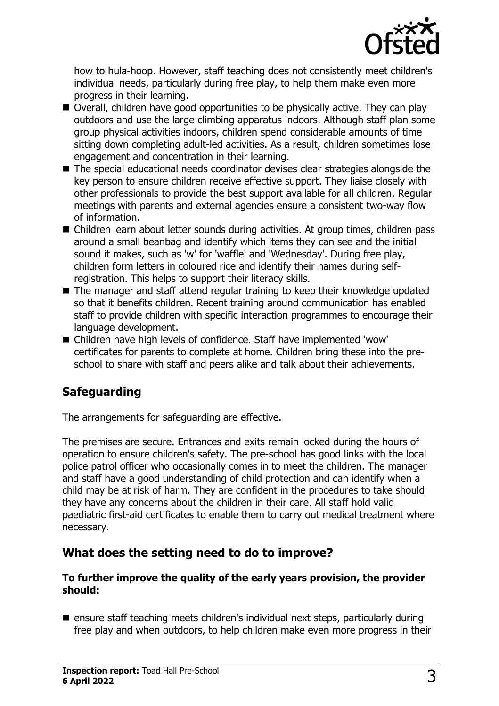

how to hula-hoop. However, staff teaching does not consistently meet children's individual needs, particularly during free play, to help them make even more progress in their learning.

- Overall, children have good opportunities to be physically active. They can play outdoors and use the large climbing apparatus indoors. Although staff plan some group physical activities indoors, children spend considerable amounts of time sitting down completing adult-led activities. As a result, children sometimes lose engagement and concentration in their learning.
- $\blacksquare$  The special educational needs coordinator devises clear strategies alongside the key person to ensure children receive effective support. They liaise closely with other professionals to provide the best support available for all children. Regular meetings with parents and external agencies ensure a consistent two-way flow of information.
- Children learn about letter sounds during activities. At group times, children pass around a small beanbag and identify which items they can see and the initial sound it makes, such as 'w' for 'waffle' and 'Wednesday'. During free play, children form letters in coloured rice and identify their names during selfregistration. This helps to support their literacy skills.
- $\blacksquare$  The manager and staff attend regular training to keep their knowledge updated so that it benefits children. Recent training around communication has enabled staff to provide children with specific interaction programmes to encourage their language development.
- Children have high levels of confidence. Staff have implemented 'wow' certificates for parents to complete at home. Children bring these into the preschool to share with staff and peers alike and talk about their achievements.

# **Safeguarding**

The arrangements for safeguarding are effective.

The premises are secure. Entrances and exits remain locked during the hours of operation to ensure children's safety. The pre-school has good links with the local police patrol officer who occasionally comes in to meet the children. The manager and staff have a good understanding of child protection and can identify when a child may be at risk of harm. They are confident in the procedures to take should they have any concerns about the children in their care. All staff hold valid paediatric first-aid certificates to enable them to carry out medical treatment where necessary.

## **What does the setting need to do to improve?**

#### **To further improve the quality of the early years provision, the provider should:**

 $\blacksquare$  ensure staff teaching meets children's individual next steps, particularly during free play and when outdoors, to help children make even more progress in their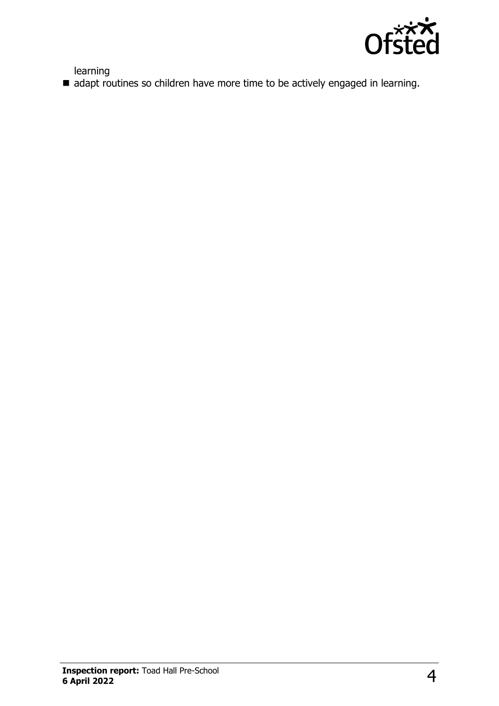

learning

 $\blacksquare$  adapt routines so children have more time to be actively engaged in learning.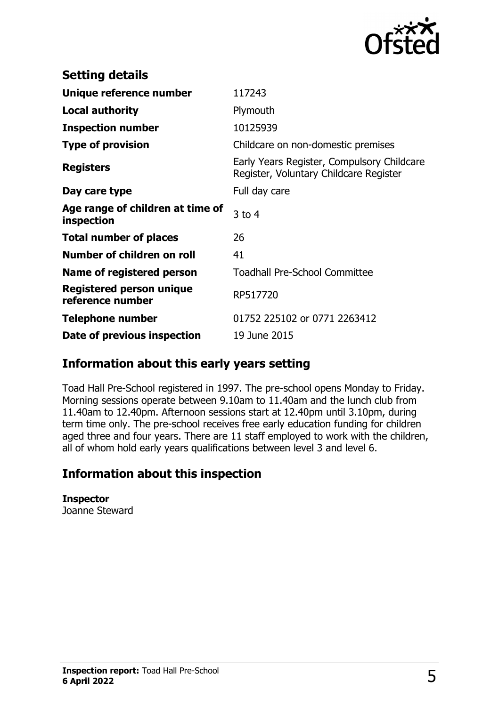

| <b>Setting details</b>                         |                                                                                      |
|------------------------------------------------|--------------------------------------------------------------------------------------|
| Unique reference number                        | 117243                                                                               |
| <b>Local authority</b>                         | Plymouth                                                                             |
| <b>Inspection number</b>                       | 10125939                                                                             |
| <b>Type of provision</b>                       | Childcare on non-domestic premises                                                   |
| <b>Registers</b>                               | Early Years Register, Compulsory Childcare<br>Register, Voluntary Childcare Register |
| Day care type                                  | Full day care                                                                        |
| Age range of children at time of<br>inspection | $3$ to 4                                                                             |
| <b>Total number of places</b>                  | 26                                                                                   |
| Number of children on roll                     | 41                                                                                   |
| Name of registered person                      | <b>Toadhall Pre-School Committee</b>                                                 |
| Registered person unique<br>reference number   | RP517720                                                                             |
| Telephone number                               | 01752 225102 or 0771 2263412                                                         |
| Date of previous inspection                    | 19 June 2015                                                                         |

## **Information about this early years setting**

Toad Hall Pre-School registered in 1997. The pre-school opens Monday to Friday. Morning sessions operate between 9.10am to 11.40am and the lunch club from 11.40am to 12.40pm. Afternoon sessions start at 12.40pm until 3.10pm, during term time only. The pre-school receives free early education funding for children aged three and four years. There are 11 staff employed to work with the children, all of whom hold early years qualifications between level 3 and level 6.

## **Information about this inspection**

**Inspector** Joanne Steward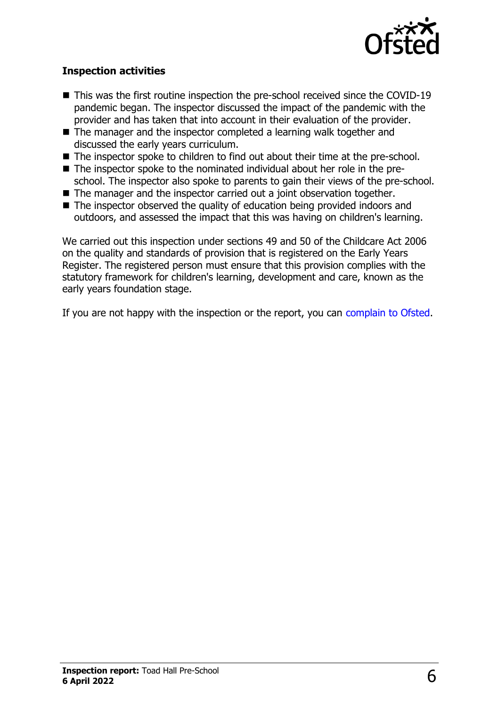

#### **Inspection activities**

- $\blacksquare$  This was the first routine inspection the pre-school received since the COVID-19 pandemic began. The inspector discussed the impact of the pandemic with the provider and has taken that into account in their evaluation of the provider.
- $\blacksquare$  The manager and the inspector completed a learning walk together and discussed the early years curriculum.
- $\blacksquare$  The inspector spoke to children to find out about their time at the pre-school.
- The inspector spoke to the nominated individual about her role in the pre-
- school. The inspector also spoke to parents to gain their views of the pre-school.
- $\blacksquare$  The manager and the inspector carried out a joint observation together.
- $\blacksquare$  The inspector observed the quality of education being provided indoors and outdoors, and assessed the impact that this was having on children's learning.

We carried out this inspection under sections 49 and 50 of the Childcare Act 2006 on the quality and standards of provision that is registered on the Early Years Register. The registered person must ensure that this provision complies with the statutory framework for children's learning, development and care, known as the early years foundation stage.

If you are not happy with the inspection or the report, you can [complain to Ofsted](http://www.gov.uk/complain-ofsted-report).